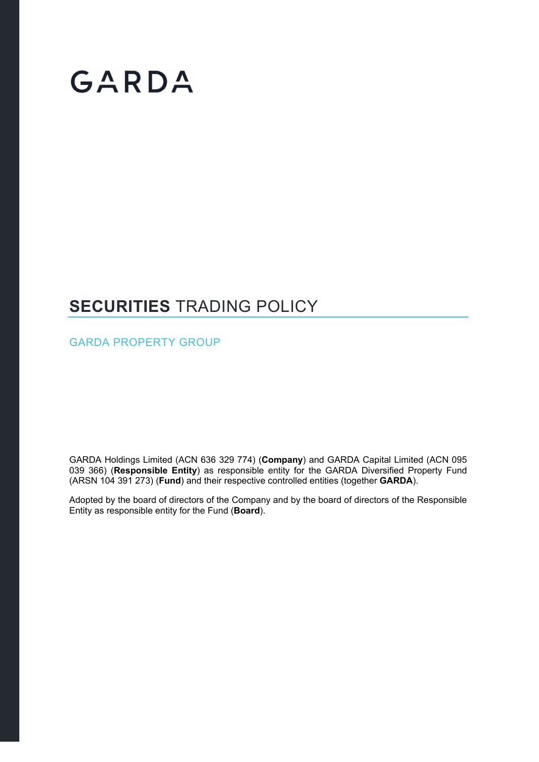# GARDA

# **SECURITIES** TRADING POLICY

GARDA PROPERTY GROUP

GARDA Holdings Limited (ACN 636 329 774) (**Company**) and GARDA Capital Limited (ACN 095 039 366) (**Responsible Entity**) as responsible entity for the GARDA Diversified Property Fund (ARSN 104 391 273) (**Fund**) and their respective controlled entities (together **GARDA**).

Adopted by the board of directors of the Company and by the board of directors of the Responsible Entity as responsible entity for the Fund (**Board**).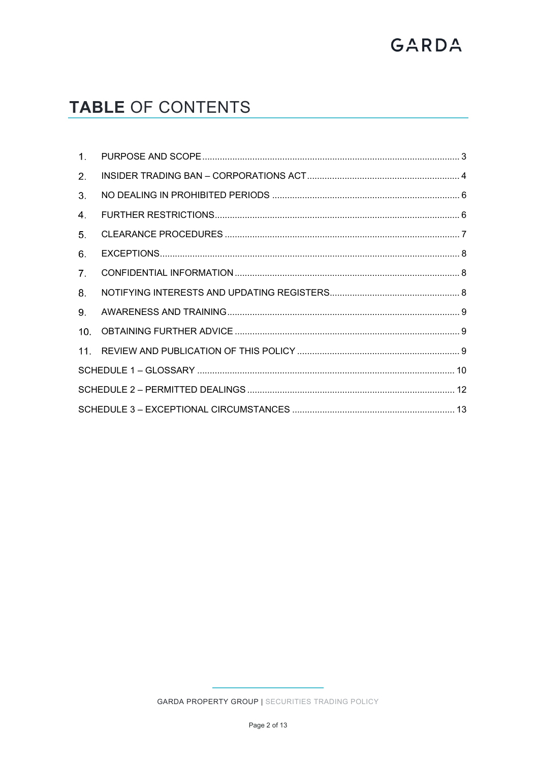# GARDA

# TABLE OF CONTENTS

| $\mathbf{1}$ . |  |  |
|----------------|--|--|
| 2.             |  |  |
| 3.             |  |  |
| 4.             |  |  |
| 5.             |  |  |
| 6.             |  |  |
| 7 <sub>1</sub> |  |  |
| 8.             |  |  |
| 9.             |  |  |
| 10.            |  |  |
| 11.            |  |  |
|                |  |  |
|                |  |  |
|                |  |  |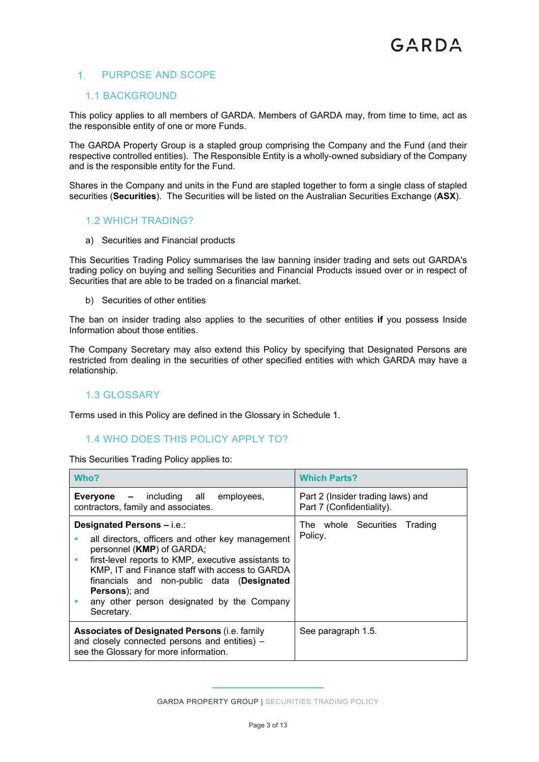# 1. PURPOSE AND SCOPE

#### 1.1 BACKGROUND

This policy applies to all members of GARDA. Members of GARDA may, from time to time, act as the responsible entity of one or more Funds.

The GARDA Property Group is a stapled group comprising the Company and the Fund (and their respective controlled entities). The Responsible Entity is a wholly-owned subsidiary of the Company and is the responsible entity for the Fund.

Shares in the Company and units in the Fund are stapled together to form a single class of stapled securities (**Securities**). The Securities will be listed on the Australian Securities Exchange (**ASX**).

#### 1.2 WHICH TRADING?

a) Securities and Financial products

This Securities Trading Policy summarises the law banning insider trading and sets out GARDA's trading policy on buying and selling Securities and Financial Products issued over or in respect of Securities that are able to be traded on a financial market.

b) Securities of other entities

The ban on insider trading also applies to the securities of other entities **if** you possess Inside Information about those entities.

The Company Secretary may also extend this Policy by specifying that Designated Persons are restricted from dealing in the securities of other specified entities with which GARDA may have a relationship.

# 1.3 GLOSSARY

Terms used in this Policy are defined in the Glossary in Schedule 1.

# 1.4 WHO DOES THIS POLICY APPLY TO?

This Securities Trading Policy applies to:

| Who?                                                                                                                                                                                                                                                                                                                                                         | <b>Which Parts?</b>                                            |  |  |
|--------------------------------------------------------------------------------------------------------------------------------------------------------------------------------------------------------------------------------------------------------------------------------------------------------------------------------------------------------------|----------------------------------------------------------------|--|--|
| <b>Everyone –</b> including all employees,<br>contractors, family and associates.                                                                                                                                                                                                                                                                            | Part 2 (Insider trading laws) and<br>Part 7 (Confidentiality). |  |  |
| Designated Persons - i.e.:<br>all directors, officers and other key management<br>personnel (KMP) of GARDA;<br>first-level reports to KMP, executive assistants to<br>ш<br>KMP, IT and Finance staff with access to GARDA<br>financials and non-public data (Designated<br><b>Persons</b> ); and<br>any other person designated by the Company<br>Secretary. | The whole Securities Trading<br>Policy.                        |  |  |
| <b>Associates of Designated Persons (i.e. family</b><br>and closely connected persons and entities) -<br>see the Glossary for more information.                                                                                                                                                                                                              | See paragraph 1.5.                                             |  |  |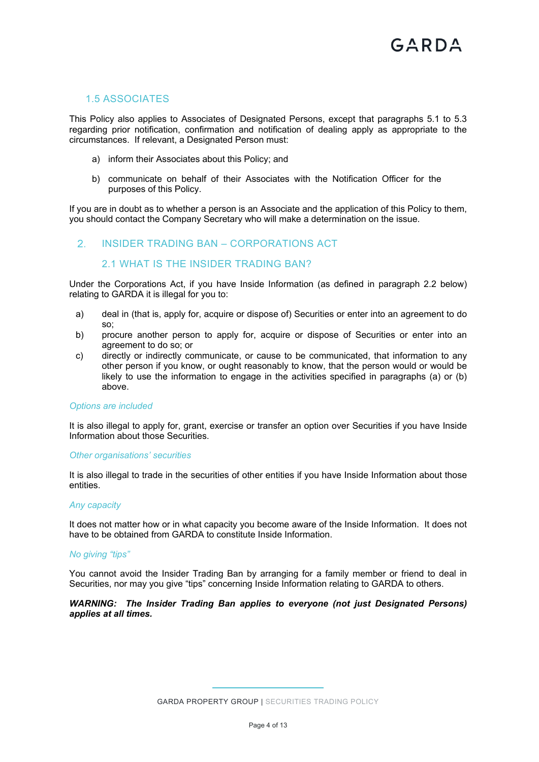#### 1.5 ASSOCIATES

This Policy also applies to Associates of Designated Persons, except that paragraphs 5.1 to 5.3 regarding prior notification, confirmation and notification of dealing apply as appropriate to the circumstances. If relevant, a Designated Person must:

- a) inform their Associates about this Policy; and
- b) communicate on behalf of their Associates with the Notification Officer for the purposes of this Policy.

If you are in doubt as to whether a person is an Associate and the application of this Policy to them, you should contact the Company Secretary who will make a determination on the issue.

#### 2. INSIDER TRADING BAN – CORPORATIONS ACT

#### 2.1 WHAT IS THE INSIDER TRADING BAN?

Under the Corporations Act, if you have Inside Information (as defined in paragraph 2.2 below) relating to GARDA it is illegal for you to:

- a) deal in (that is, apply for, acquire or dispose of) Securities or enter into an agreement to do so;
- b) procure another person to apply for, acquire or dispose of Securities or enter into an agreement to do so; or
- c) directly or indirectly communicate, or cause to be communicated, that information to any other person if you know, or ought reasonably to know, that the person would or would be likely to use the information to engage in the activities specified in paragraphs (a) or (b) above.

#### *Options are included*

It is also illegal to apply for, grant, exercise or transfer an option over Securities if you have Inside Information about those Securities.

#### *Other organisations' securities*

It is also illegal to trade in the securities of other entities if you have Inside Information about those entities.

#### *Any capacity*

It does not matter how or in what capacity you become aware of the Inside Information. It does not have to be obtained from GARDA to constitute Inside Information.

#### *No giving "tips"*

You cannot avoid the Insider Trading Ban by arranging for a family member or friend to deal in Securities, nor may you give "tips" concerning Inside Information relating to GARDA to others.

#### *WARNING: The Insider Trading Ban applies to everyone (not just Designated Persons) applies at all times.*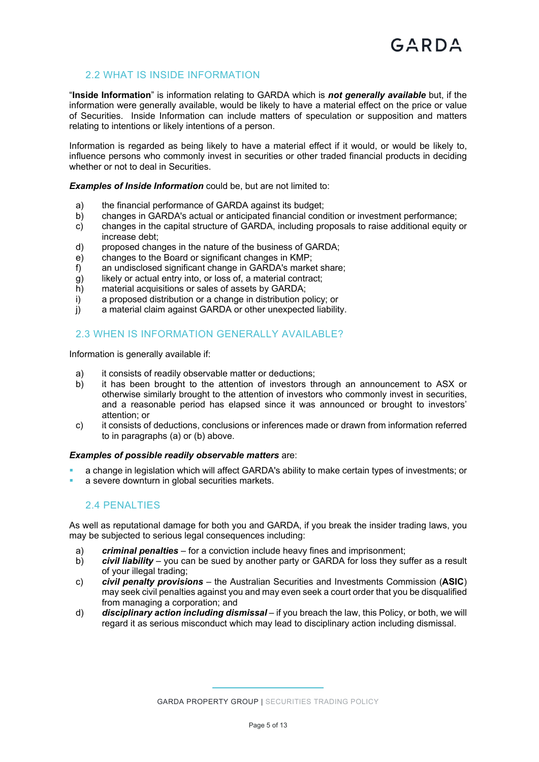# 2.2 WHAT IS INSIDE INFORMATION

"**Inside Information**" is information relating to GARDA which is *not generally available* but, if the information were generally available, would be likely to have a material effect on the price or value of Securities. Inside Information can include matters of speculation or supposition and matters relating to intentions or likely intentions of a person.

Information is regarded as being likely to have a material effect if it would, or would be likely to, influence persons who commonly invest in securities or other traded financial products in deciding whether or not to deal in Securities.

*Examples of Inside Information* could be, but are not limited to:

- a) the financial performance of GARDA against its budget;
- b) changes in GARDA's actual or anticipated financial condition or investment performance;
- c) changes in the capital structure of GARDA, including proposals to raise additional equity or increase debt;
- d) proposed changes in the nature of the business of GARDA;
- e) changes to the Board or significant changes in KMP;
- f) an undisclosed significant change in GARDA's market share;
- g) likely or actual entry into, or loss of, a material contract;
- h) material acquisitions or sales of assets by GARDA;
- i) a proposed distribution or a change in distribution policy; or
- j) a material claim against GARDA or other unexpected liability.

#### 2.3 WHEN IS INFORMATION GENERALLY AVAILABLE?

Information is generally available if:

- a) it consists of readily observable matter or deductions;
- b) it has been brought to the attention of investors through an announcement to ASX or otherwise similarly brought to the attention of investors who commonly invest in securities, and a reasonable period has elapsed since it was announced or brought to investors' attention; or
- c) it consists of deductions, conclusions or inferences made or drawn from information referred to in paragraphs (a) or (b) above.

#### *Examples of possible readily observable matters* are:

- a change in legislation which will affect GARDA's ability to make certain types of investments; or
- a severe downturn in global securities markets.

#### 2.4 PENALTIES

As well as reputational damage for both you and GARDA, if you break the insider trading laws, you may be subjected to serious legal consequences including:

- a) *criminal penalties* for a conviction include heavy fines and imprisonment;
- b) *civil liability* you can be sued by another party or GARDA for loss they suffer as a result of your illegal trading;
- c) *civil penalty provisions* the Australian Securities and Investments Commission (**ASIC**) may seek civil penalties against you and may even seek a court order that you be disqualified from managing a corporation; and
- d) *disciplinary action including dismissal* if you breach the law, this Policy, or both, we will regard it as serious misconduct which may lead to disciplinary action including dismissal.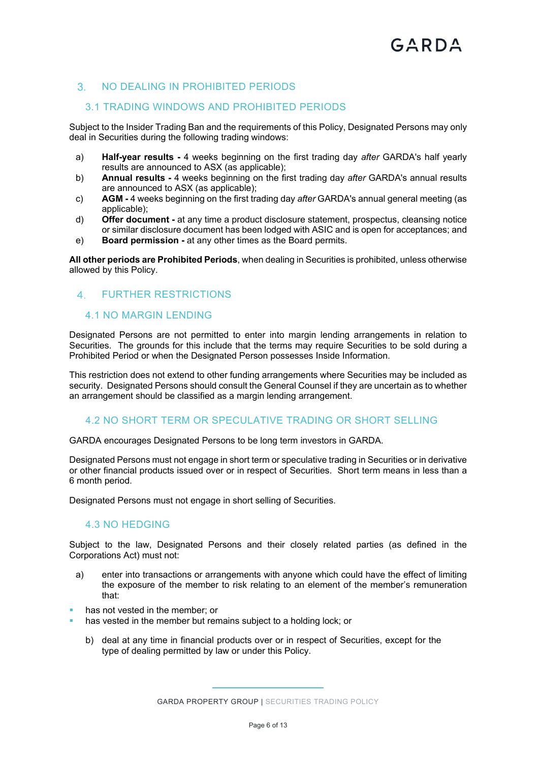# 3. NO DEALING IN PROHIBITED PERIODS

#### 3.1 TRADING WINDOWS AND PROHIBITED PERIODS

Subject to the Insider Trading Ban and the requirements of this Policy, Designated Persons may only deal in Securities during the following trading windows:

- a) **Half-year results** 4 weeks beginning on the first trading day *after* GARDA's half yearly results are announced to ASX (as applicable);
- b) **Annual results** 4 weeks beginning on the first trading day *after* GARDA's annual results are announced to ASX (as applicable);
- c) **AGM -** 4 weeks beginning on the first trading day *after* GARDA's annual general meeting (as applicable);
- d) **Offer document -** at any time a product disclosure statement, prospectus, cleansing notice or similar disclosure document has been lodged with ASIC and is open for acceptances; and
- e) **Board permission -** at any other times as the Board permits.

**All other periods are Prohibited Periods**, when dealing in Securities is prohibited, unless otherwise allowed by this Policy.

#### FURTHER RESTRICTIONS

# 4.1 NO MARGIN LENDING

Designated Persons are not permitted to enter into margin lending arrangements in relation to Securities. The grounds for this include that the terms may require Securities to be sold during a Prohibited Period or when the Designated Person possesses Inside Information.

This restriction does not extend to other funding arrangements where Securities may be included as security. Designated Persons should consult the General Counsel if they are uncertain as to whether an arrangement should be classified as a margin lending arrangement.

#### 4.2 NO SHORT TERM OR SPECULATIVE TRADING OR SHORT SELLING

GARDA encourages Designated Persons to be long term investors in GARDA.

Designated Persons must not engage in short term or speculative trading in Securities or in derivative or other financial products issued over or in respect of Securities. Short term means in less than a 6 month period.

Designated Persons must not engage in short selling of Securities.

#### 4.3 NO HEDGING

Subject to the law, Designated Persons and their closely related parties (as defined in the Corporations Act) must not:

- a) enter into transactions or arrangements with anyone which could have the effect of limiting the exposure of the member to risk relating to an element of the member's remuneration that:
- has not vested in the member; or
- has vested in the member but remains subject to a holding lock; or
	- b) deal at any time in financial products over or in respect of Securities, except for the type of dealing permitted by law or under this Policy.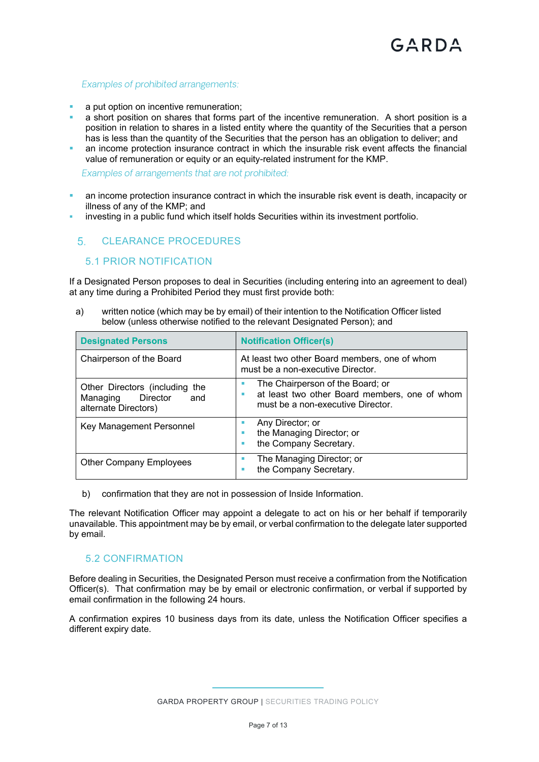#### *Examples of prohibited arrangements:*

- a put option on incentive remuneration;
- a short position on shares that forms part of the incentive remuneration. A short position is a position in relation to shares in a listed entity where the quantity of the Securities that a person has is less than the quantity of the Securities that the person has an obligation to deliver; and
- **an income protection insurance contract in which the insurable risk event affects the financial** value of remuneration or equity or an equity-related instrument for the KMP.

*Examples of arrangements that are not prohibited:*

- an income protection insurance contract in which the insurable risk event is death, incapacity or illness of any of the KMP; and
- investing in a public fund which itself holds Securities within its investment portfolio.

#### CLEARANCE PROCEDURES

#### 5.1 PRIOR NOTIFICATION

If a Designated Person proposes to deal in Securities (including entering into an agreement to deal) at any time during a Prohibited Period they must first provide both:

a) written notice (which may be by email) of their intention to the Notification Officer listed below (unless otherwise notified to the relevant Designated Person); and

| <b>Designated Persons</b>                                                             | <b>Notification Officer(s)</b>                                                                                         |
|---------------------------------------------------------------------------------------|------------------------------------------------------------------------------------------------------------------------|
| Chairperson of the Board                                                              | At least two other Board members, one of whom<br>must be a non-executive Director.                                     |
| Other Directors (including the<br>Director<br>Managing<br>and<br>alternate Directors) | The Chairperson of the Board; or<br>at least two other Board members, one of whom<br>must be a non-executive Director. |
| Key Management Personnel                                                              | Any Director; or<br>the Managing Director; or<br>ш<br>the Company Secretary.                                           |
| <b>Other Company Employees</b>                                                        | The Managing Director; or<br>the Company Secretary.                                                                    |

b) confirmation that they are not in possession of Inside Information.

The relevant Notification Officer may appoint a delegate to act on his or her behalf if temporarily unavailable. This appointment may be by email, or verbal confirmation to the delegate later supported by email.

#### 5.2 CONFIRMATION

Before dealing in Securities, the Designated Person must receive a confirmation from the Notification Officer(s). That confirmation may be by email or electronic confirmation, or verbal if supported by email confirmation in the following 24 hours.

A confirmation expires 10 business days from its date, unless the Notification Officer specifies a different expiry date.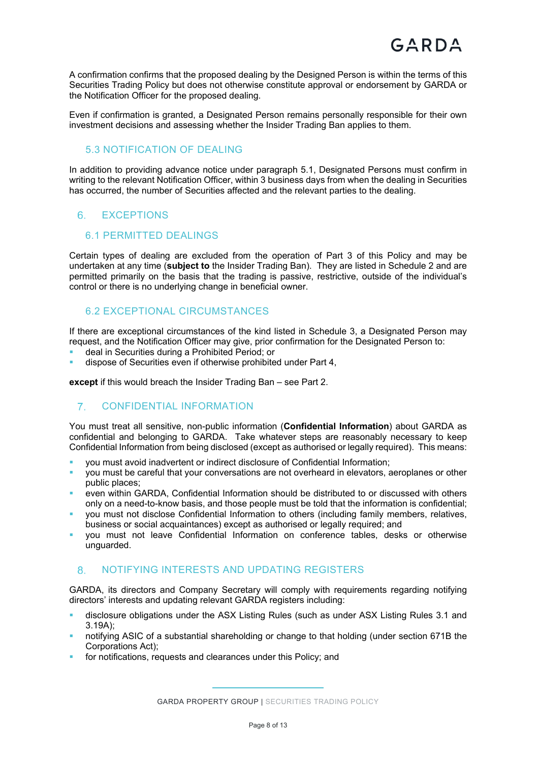A confirmation confirms that the proposed dealing by the Designed Person is within the terms of this Securities Trading Policy but does not otherwise constitute approval or endorsement by GARDA or the Notification Officer for the proposed dealing.

Even if confirmation is granted, a Designated Person remains personally responsible for their own investment decisions and assessing whether the Insider Trading Ban applies to them.

# 5.3 NOTIFICATION OF DEALING

In addition to providing advance notice under paragraph 5.1, Designated Persons must confirm in writing to the relevant Notification Officer, within 3 business days from when the dealing in Securities has occurred, the number of Securities affected and the relevant parties to the dealing.

# 6 **EXCEPTIONS**

# 6.1 PERMITTED DEALINGS

Certain types of dealing are excluded from the operation of Part 3 of this Policy and may be undertaken at any time (**subject to** the Insider Trading Ban). They are listed in Schedule 2 and are permitted primarily on the basis that the trading is passive, restrictive, outside of the individual's control or there is no underlying change in beneficial owner.

#### 6.2 EXCEPTIONAL CIRCUMSTANCES

If there are exceptional circumstances of the kind listed in Schedule 3, a Designated Person may request, and the Notification Officer may give, prior confirmation for the Designated Person to:

- deal in Securities during a Prohibited Period; or
- dispose of Securities even if otherwise prohibited under Part 4,

**except** if this would breach the Insider Trading Ban – see Part 2.

# CONFIDENTIAL INFORMATION

You must treat all sensitive, non-public information (**Confidential Information**) about GARDA as confidential and belonging to GARDA. Take whatever steps are reasonably necessary to keep Confidential Information from being disclosed (except as authorised or legally required). This means:

- you must avoid inadvertent or indirect disclosure of Confidential Information;
- you must be careful that your conversations are not overheard in elevators, aeroplanes or other public places;
- even within GARDA, Confidential Information should be distributed to or discussed with others only on a need-to-know basis, and those people must be told that the information is confidential;
- you must not disclose Confidential Information to others (including family members, relatives, business or social acquaintances) except as authorised or legally required; and
- you must not leave Confidential Information on conference tables, desks or otherwise unguarded.

#### 8. NOTIFYING INTERESTS AND UPDATING REGISTERS

GARDA, its directors and Company Secretary will comply with requirements regarding notifying directors' interests and updating relevant GARDA registers including:

- disclosure obligations under the ASX Listing Rules (such as under ASX Listing Rules 3.1 and 3.19A);
- notifying ASIC of a substantial shareholding or change to that holding (under section 671B the Corporations Act);
- for notifications, requests and clearances under this Policy; and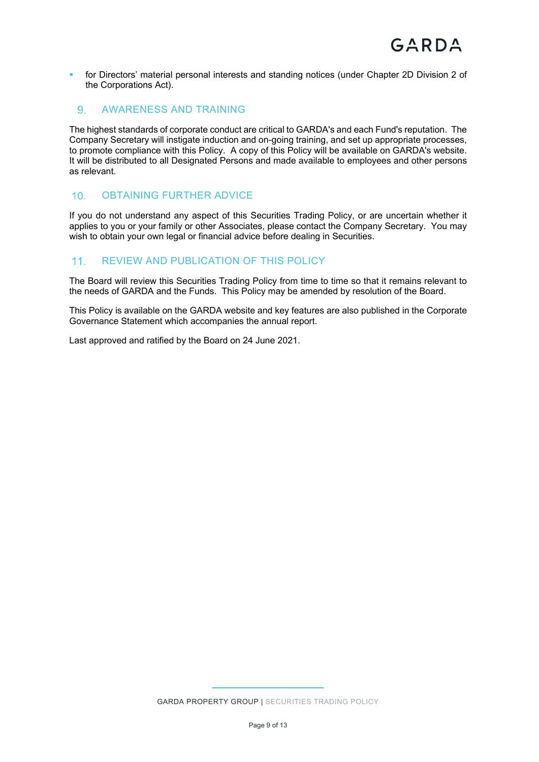**for Directors' material personal interests and standing notices (under Chapter 2D Division 2 of** the Corporations Act).

# 9 AWARENESS AND TRAINING

The highest standards of corporate conduct are critical to GARDA's and each Fund's reputation. The Company Secretary will instigate induction and on-going training, and set up appropriate processes, to promote compliance with this Policy. A copy of this Policy will be available on GARDA's website. It will be distributed to all Designated Persons and made available to employees and other persons as relevant.

# 10 OBTAINING FURTHER ADVICE

If you do not understand any aspect of this Securities Trading Policy, or are uncertain whether it applies to you or your family or other Associates, please contact the Company Secretary. You may wish to obtain your own legal or financial advice before dealing in Securities.

# 11. REVIEW AND PUBLICATION OF THIS POLICY

The Board will review this Securities Trading Policy from time to time so that it remains relevant to the needs of GARDA and the Funds. This Policy may be amended by resolution of the Board.

This Policy is available on the GARDA website and key features are also published in the Corporate Governance Statement which accompanies the annual report.

Last approved and ratified by the Board on 24 June 2021.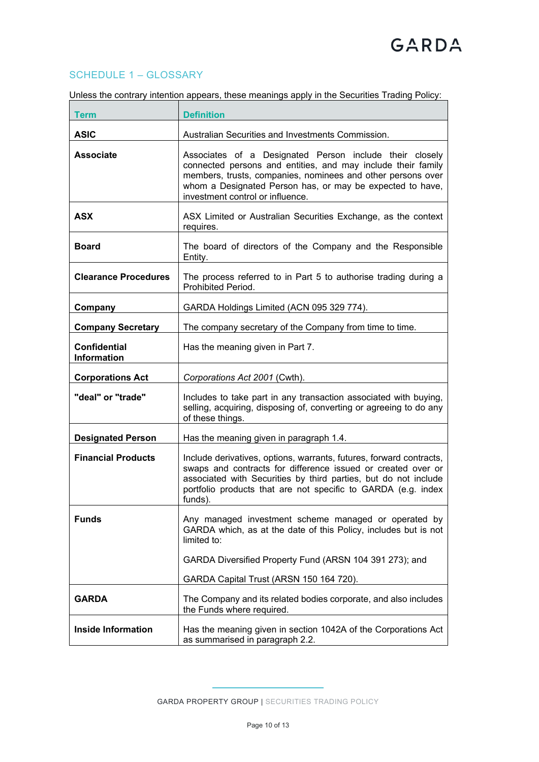# SCHEDULE 1 – GLOSSARY

| Unless the contrary intention appears, these meanings apply in the Securities Trading Policy: |  |  |
|-----------------------------------------------------------------------------------------------|--|--|
|                                                                                               |  |  |

| <b>Term</b>                               | <b>Definition</b>                                                                                                                                                                                                                                                                       |
|-------------------------------------------|-----------------------------------------------------------------------------------------------------------------------------------------------------------------------------------------------------------------------------------------------------------------------------------------|
| <b>ASIC</b>                               | Australian Securities and Investments Commission.                                                                                                                                                                                                                                       |
| <b>Associate</b>                          | Associates of a Designated Person include their closely<br>connected persons and entities, and may include their family<br>members, trusts, companies, nominees and other persons over<br>whom a Designated Person has, or may be expected to have,<br>investment control or influence. |
| <b>ASX</b>                                | ASX Limited or Australian Securities Exchange, as the context<br>requires.                                                                                                                                                                                                              |
| <b>Board</b>                              | The board of directors of the Company and the Responsible<br>Entity.                                                                                                                                                                                                                    |
| <b>Clearance Procedures</b>               | The process referred to in Part 5 to authorise trading during a<br>Prohibited Period.                                                                                                                                                                                                   |
| Company                                   | GARDA Holdings Limited (ACN 095 329 774).                                                                                                                                                                                                                                               |
| <b>Company Secretary</b>                  | The company secretary of the Company from time to time.                                                                                                                                                                                                                                 |
| <b>Confidential</b><br><b>Information</b> | Has the meaning given in Part 7.                                                                                                                                                                                                                                                        |
| <b>Corporations Act</b>                   | Corporations Act 2001 (Cwth).                                                                                                                                                                                                                                                           |
| "deal" or "trade"                         | Includes to take part in any transaction associated with buying,<br>selling, acquiring, disposing of, converting or agreeing to do any<br>of these things.                                                                                                                              |
| <b>Designated Person</b>                  | Has the meaning given in paragraph 1.4.                                                                                                                                                                                                                                                 |
| <b>Financial Products</b>                 | Include derivatives, options, warrants, futures, forward contracts,<br>swaps and contracts for difference issued or created over or<br>associated with Securities by third parties, but do not include<br>portfolio products that are not specific to GARDA (e.g. index<br>funds).      |
| <b>Funds</b>                              | Any managed investment scheme managed or operated by<br>GARDA which, as at the date of this Policy, includes but is not<br>limited to:                                                                                                                                                  |
|                                           | GARDA Diversified Property Fund (ARSN 104 391 273); and                                                                                                                                                                                                                                 |
|                                           | GARDA Capital Trust (ARSN 150 164 720).                                                                                                                                                                                                                                                 |
| <b>GARDA</b>                              | The Company and its related bodies corporate, and also includes<br>the Funds where required.                                                                                                                                                                                            |
| <b>Inside Information</b>                 | Has the meaning given in section 1042A of the Corporations Act<br>as summarised in paragraph 2.2.                                                                                                                                                                                       |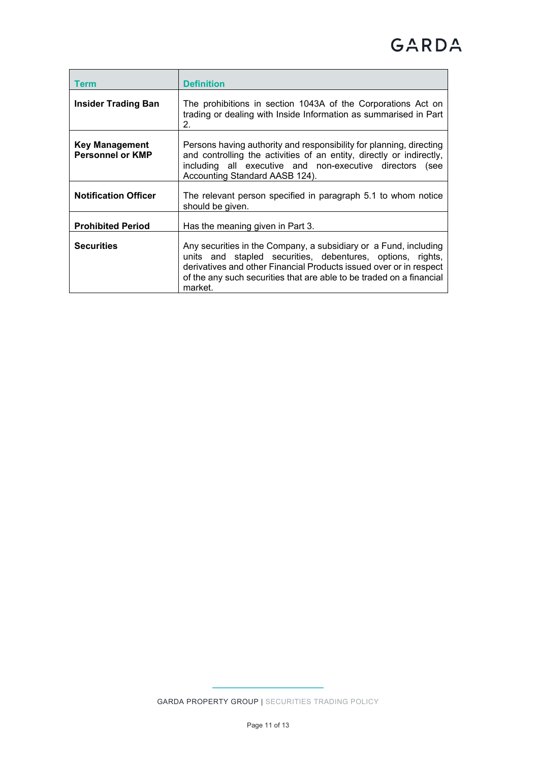| Term                                             | <b>Definition</b>                                                                                                                                                                                                                                                                       |
|--------------------------------------------------|-----------------------------------------------------------------------------------------------------------------------------------------------------------------------------------------------------------------------------------------------------------------------------------------|
| <b>Insider Trading Ban</b>                       | The prohibitions in section 1043A of the Corporations Act on<br>trading or dealing with Inside Information as summarised in Part<br>2.                                                                                                                                                  |
| <b>Key Management</b><br><b>Personnel or KMP</b> | Persons having authority and responsibility for planning, directing<br>and controlling the activities of an entity, directly or indirectly,<br>including all executive and non-executive directors (see<br>Accounting Standard AASB 124).                                               |
| <b>Notification Officer</b>                      | The relevant person specified in paragraph 5.1 to whom notice<br>should be given.                                                                                                                                                                                                       |
| <b>Prohibited Period</b>                         | Has the meaning given in Part 3.                                                                                                                                                                                                                                                        |
| <b>Securities</b>                                | Any securities in the Company, a subsidiary or a Fund, including<br>units and stapled securities, debentures, options, rights,<br>derivatives and other Financial Products issued over or in respect<br>of the any such securities that are able to be traded on a financial<br>market. |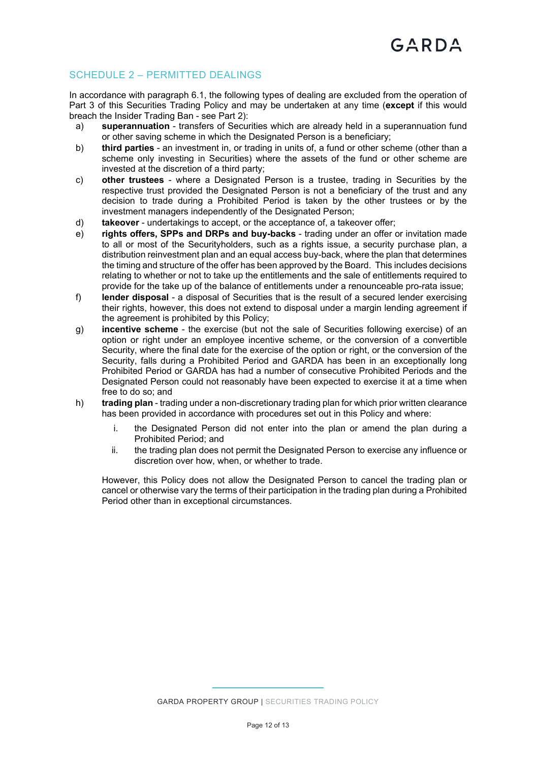# SCHEDULE 2 – PERMITTED DEALINGS

In accordance with paragraph 6.1, the following types of dealing are excluded from the operation of Part 3 of this Securities Trading Policy and may be undertaken at any time (**except** if this would breach the Insider Trading Ban - see Part 2):

- a) **superannuation** transfers of Securities which are already held in a superannuation fund or other saving scheme in which the Designated Person is a beneficiary;
- b) **third parties** an investment in, or trading in units of, a fund or other scheme (other than a scheme only investing in Securities) where the assets of the fund or other scheme are invested at the discretion of a third party;
- c) **other trustees** where a Designated Person is a trustee, trading in Securities by the respective trust provided the Designated Person is not a beneficiary of the trust and any decision to trade during a Prohibited Period is taken by the other trustees or by the investment managers independently of the Designated Person;
- d) **takeover** undertakings to accept, or the acceptance of, a takeover offer;
- e) **rights offers, SPPs and DRPs and buy-backs** trading under an offer or invitation made to all or most of the Securityholders, such as a rights issue, a security purchase plan, a distribution reinvestment plan and an equal access buy-back, where the plan that determines the timing and structure of the offer has been approved by the Board. This includes decisions relating to whether or not to take up the entitlements and the sale of entitlements required to provide for the take up of the balance of entitlements under a renounceable pro-rata issue;
- f) **lender disposal** a disposal of Securities that is the result of a secured lender exercising their rights, however, this does not extend to disposal under a margin lending agreement if the agreement is prohibited by this Policy;
- g) **incentive scheme** the exercise (but not the sale of Securities following exercise) of an option or right under an employee incentive scheme, or the conversion of a convertible Security, where the final date for the exercise of the option or right, or the conversion of the Security, falls during a Prohibited Period and GARDA has been in an exceptionally long Prohibited Period or GARDA has had a number of consecutive Prohibited Periods and the Designated Person could not reasonably have been expected to exercise it at a time when free to do so; and
- h) **trading plan** trading under a non-discretionary trading plan for which prior written clearance has been provided in accordance with procedures set out in this Policy and where:
	- i. the Designated Person did not enter into the plan or amend the plan during a Prohibited Period; and
	- ii. the trading plan does not permit the Designated Person to exercise any influence or discretion over how, when, or whether to trade.

However, this Policy does not allow the Designated Person to cancel the trading plan or cancel or otherwise vary the terms of their participation in the trading plan during a Prohibited Period other than in exceptional circumstances.